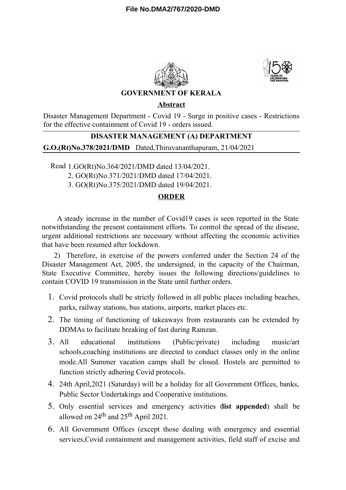



#### **GOVERNMENT OF KERALA**

## **Abstract**

Disaster Management Department - Covid 19 - Surge in positive cases - Restrictions for the effective containment of Covid 19 - orders issued.

## **DISASTER MANAGEMENT (A) DEPARTMENT**

**G.O.(Rt)No.378/2021/DMD** Dated,Thiruvananthapuram, 21/04/2021

Read 1.GO(Rt)No.364/2021/DMD dated 13/04/2021.

2. GO(Rt)No.371/2021/DMD dated 17/04/2021.

3. GO(Rt)No.375/2021/DMD dated 19/04/2021.

# **ORDER**

A steady increase in the number of Covid19 cases is seen reported in the State notwithstanding the present containment efforts. To control the spread of the disease, urgent additional restrictions are necessary without affecting the economic activities that have been resumed after lockdown.

2) Therefore, in exercise of the powers conferred under the Section 24 of the Disaster Management Act, 2005, the undersigned, in the capacity of the Chairman, State Executive Committee, hereby issues the following directions/guidelines to contain COVID 19 transmission in the State until further orders.

- 1. Covid protocols shall be strictly followed in all public places including beaches, parks, railway stations, bus stations, airports, market places etc.
- 2. The timing of functioning of takeaways from restaurants can be extended by DDMAs to facilitate breaking of fast during Ramzan.
- 3. All educational institutions (Public/private) including music/art schools,coaching institutions are directed to conduct classes only in the online mode.All Summer vacation camps shall be closed. Hostels are permitted to function strictly adhering Covid protocols.
- 4. 24th April,2021 (Saturday) will be a holiday for all Government Offices, banks, Public Sector Undertakings and Cooperative institutions.
- 5. Only essential services and emergency activities (**list appended**) shall be allowed on  $24^{th}$  and  $25^{th}$  April 2021.
- 6. All Government Offices (except those dealing with emergency and essential services,Covid containment and management activities, field staff of excise and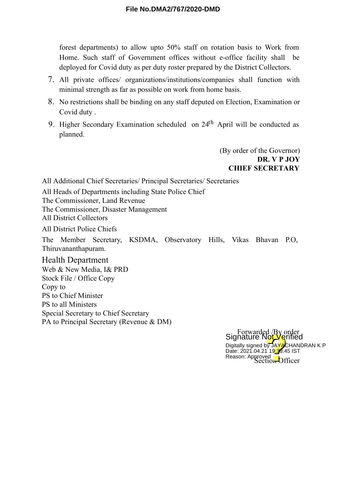#### **File No.DMA2/767/2020-DMD**

forest departments) to allow upto 50% staff on rotation basis to Work from Home. Such staff of Government offices without e-office facility shall be deployed for Covid duty as per duty roster prepared by the District Collectors.

- 7. All private offices/ organizations/institutions/companies shall function with minimal strength as far as possible on work from home basis.
- 8. No restrictions shall be binding on any staff deputed on Election, Examination or Covid duty .
- 9. Higher Secondary Examination scheduled on  $24<sup>th</sup>$  April will be conducted as planned.

(By order of the Governor) **DR. V P JOY CHIEF SECRETARY**

All Additional Chief Secretaries/ Principal Secretaries/ Secretaries

All Heads of Departments including State Police Chief The Commissioner, Land Revenue The Commissioner, Disaster Management All District Collectors All District Police Chiefs

The Member Secretary, KSDMA, Observatory Hills, Vikas Bhavan P.O, Thiruvananthapuram.

Health Department Web & New Media, I& PRD Stock File / Office Copy Copy to PS to Chief Minister PS to all Ministers Special Secretary to Chief Secretary PA to Principal Secretary (Revenue & DM)

> Forwarded /By order Reason: Approved<br>Section Officer Digitally signed by JAYACHANDRAN K P Date: 2021.04.21 19:38:45 IST Signature Not Verified